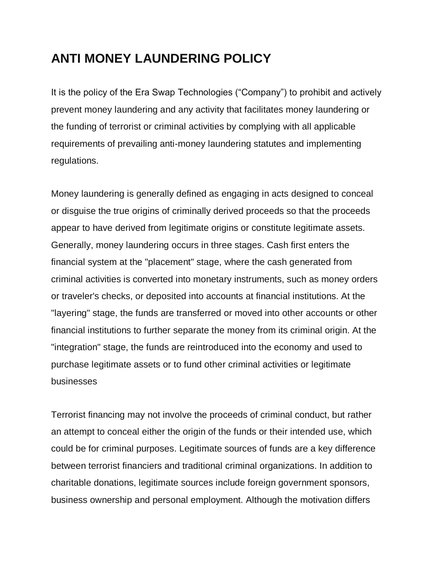# **ANTI MONEY LAUNDERING POLICY**

It is the policy of the Era Swap Technologies ("Company") to prohibit and actively prevent money laundering and any activity that facilitates money laundering or the funding of terrorist or criminal activities by complying with all applicable requirements of prevailing anti-money laundering statutes and implementing regulations.

Money laundering is generally defined as engaging in acts designed to conceal or disguise the true origins of criminally derived proceeds so that the proceeds appear to have derived from legitimate origins or constitute legitimate assets. Generally, money laundering occurs in three stages. Cash first enters the financial system at the "placement" stage, where the cash generated from criminal activities is converted into monetary instruments, such as money orders or traveler's checks, or deposited into accounts at financial institutions. At the "layering" stage, the funds are transferred or moved into other accounts or other financial institutions to further separate the money from its criminal origin. At the "integration" stage, the funds are reintroduced into the economy and used to purchase legitimate assets or to fund other criminal activities or legitimate businesses

Terrorist financing may not involve the proceeds of criminal conduct, but rather an attempt to conceal either the origin of the funds or their intended use, which could be for criminal purposes. Legitimate sources of funds are a key difference between terrorist financiers and traditional criminal organizations. In addition to charitable donations, legitimate sources include foreign government sponsors, business ownership and personal employment. Although the motivation differs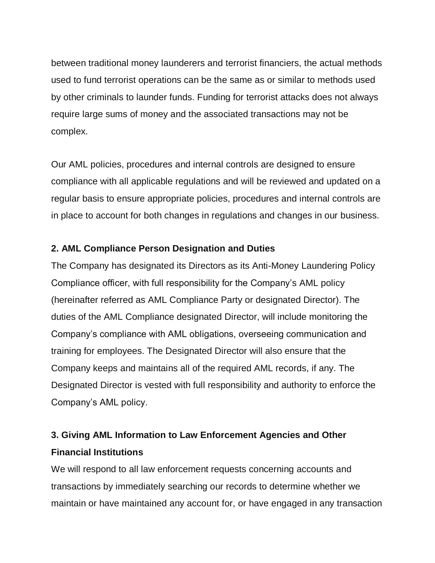between traditional money launderers and terrorist financiers, the actual methods used to fund terrorist operations can be the same as or similar to methods used by other criminals to launder funds. Funding for terrorist attacks does not always require large sums of money and the associated transactions may not be complex.

Our AML policies, procedures and internal controls are designed to ensure compliance with all applicable regulations and will be reviewed and updated on a regular basis to ensure appropriate policies, procedures and internal controls are in place to account for both changes in regulations and changes in our business.

#### **2. AML Compliance Person Designation and Duties**

The Company has designated its Directors as its Anti-Money Laundering Policy Compliance officer, with full responsibility for the Company's AML policy (hereinafter referred as AML Compliance Party or designated Director). The duties of the AML Compliance designated Director, will include monitoring the Company's compliance with AML obligations, overseeing communication and training for employees. The Designated Director will also ensure that the Company keeps and maintains all of the required AML records, if any. The Designated Director is vested with full responsibility and authority to enforce the Company's AML policy.

## **3. Giving AML Information to Law Enforcement Agencies and Other Financial Institutions**

We will respond to all law enforcement requests concerning accounts and transactions by immediately searching our records to determine whether we maintain or have maintained any account for, or have engaged in any transaction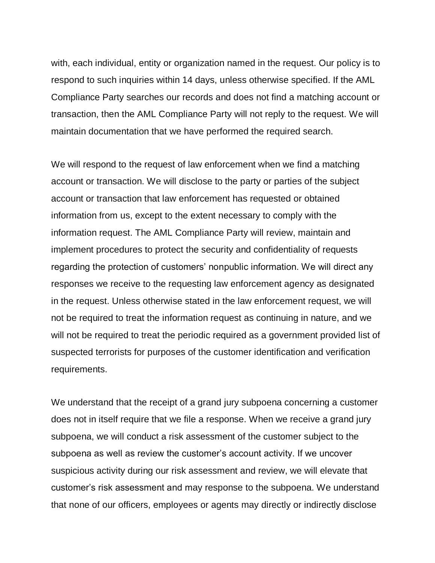with, each individual, entity or organization named in the request. Our policy is to respond to such inquiries within 14 days, unless otherwise specified. If the AML Compliance Party searches our records and does not find a matching account or transaction, then the AML Compliance Party will not reply to the request. We will maintain documentation that we have performed the required search.

We will respond to the request of law enforcement when we find a matching account or transaction. We will disclose to the party or parties of the subject account or transaction that law enforcement has requested or obtained information from us, except to the extent necessary to comply with the information request. The AML Compliance Party will review, maintain and implement procedures to protect the security and confidentiality of requests regarding the protection of customers' nonpublic information. We will direct any responses we receive to the requesting law enforcement agency as designated in the request. Unless otherwise stated in the law enforcement request, we will not be required to treat the information request as continuing in nature, and we will not be required to treat the periodic required as a government provided list of suspected terrorists for purposes of the customer identification and verification requirements.

We understand that the receipt of a grand jury subpoena concerning a customer does not in itself require that we file a response. When we receive a grand jury subpoena, we will conduct a risk assessment of the customer subject to the subpoena as well as review the customer's account activity. If we uncover suspicious activity during our risk assessment and review, we will elevate that customer's risk assessment and may response to the subpoena. We understand that none of our officers, employees or agents may directly or indirectly disclose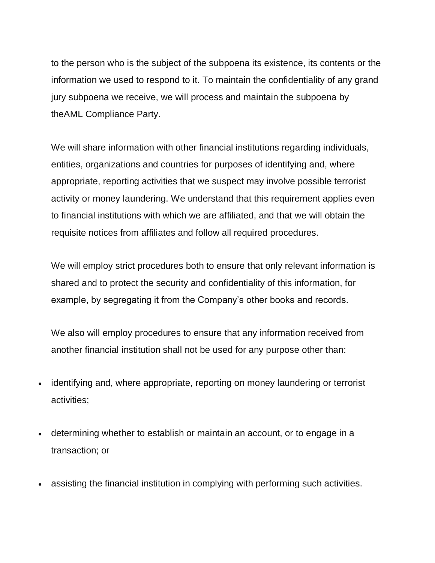to the person who is the subject of the subpoena its existence, its contents or the information we used to respond to it. To maintain the confidentiality of any grand jury subpoena we receive, we will process and maintain the subpoena by theAML Compliance Party.

We will share information with other financial institutions regarding individuals, entities, organizations and countries for purposes of identifying and, where appropriate, reporting activities that we suspect may involve possible terrorist activity or money laundering. We understand that this requirement applies even to financial institutions with which we are affiliated, and that we will obtain the requisite notices from affiliates and follow all required procedures.

We will employ strict procedures both to ensure that only relevant information is shared and to protect the security and confidentiality of this information, for example, by segregating it from the Company's other books and records.

We also will employ procedures to ensure that any information received from another financial institution shall not be used for any purpose other than:

- identifying and, where appropriate, reporting on money laundering or terrorist activities;
- determining whether to establish or maintain an account, or to engage in a transaction; or
- assisting the financial institution in complying with performing such activities.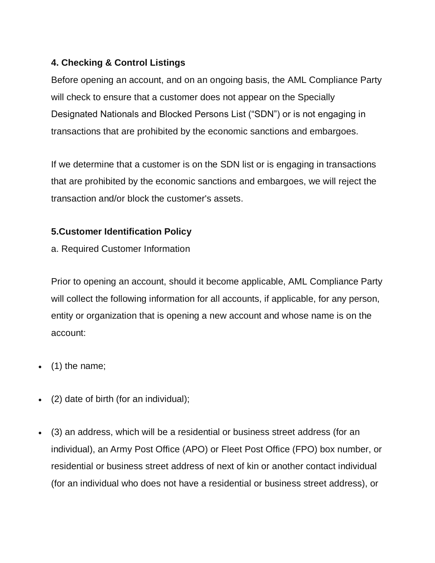## **4. Checking & Control Listings**

Before opening an account, and on an ongoing basis, the AML Compliance Party will check to ensure that a customer does not appear on the Specially Designated Nationals and Blocked Persons List ("SDN") or is not engaging in transactions that are prohibited by the economic sanctions and embargoes.

If we determine that a customer is on the SDN list or is engaging in transactions that are prohibited by the economic sanctions and embargoes, we will reject the transaction and/or block the customer's assets.

## **5.Customer Identification Policy**

a. Required Customer Information

Prior to opening an account, should it become applicable, AML Compliance Party will collect the following information for all accounts, if applicable, for any person, entity or organization that is opening a new account and whose name is on the account:

- (1) the name;
- (2) date of birth (for an individual);
- (3) an address, which will be a residential or business street address (for an individual), an Army Post Office (APO) or Fleet Post Office (FPO) box number, or residential or business street address of next of kin or another contact individual (for an individual who does not have a residential or business street address), or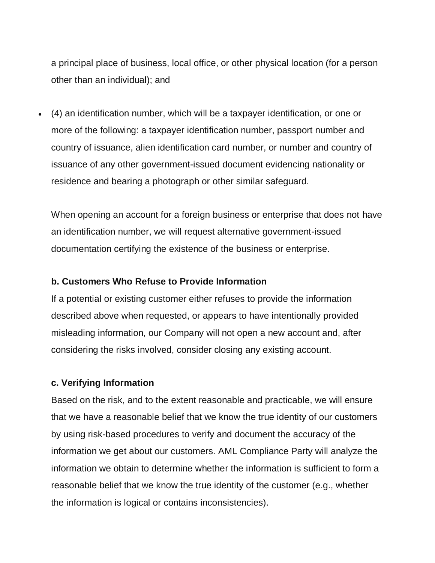a principal place of business, local office, or other physical location (for a person other than an individual); and

 (4) an identification number, which will be a taxpayer identification, or one or more of the following: a taxpayer identification number, passport number and country of issuance, alien identification card number, or number and country of issuance of any other government-issued document evidencing nationality or residence and bearing a photograph or other similar safeguard.

When opening an account for a foreign business or enterprise that does not have an identification number, we will request alternative government-issued documentation certifying the existence of the business or enterprise.

#### **b. Customers Who Refuse to Provide Information**

If a potential or existing customer either refuses to provide the information described above when requested, or appears to have intentionally provided misleading information, our Company will not open a new account and, after considering the risks involved, consider closing any existing account.

#### **c. Verifying Information**

Based on the risk, and to the extent reasonable and practicable, we will ensure that we have a reasonable belief that we know the true identity of our customers by using risk-based procedures to verify and document the accuracy of the information we get about our customers. AML Compliance Party will analyze the information we obtain to determine whether the information is sufficient to form a reasonable belief that we know the true identity of the customer (e.g., whether the information is logical or contains inconsistencies).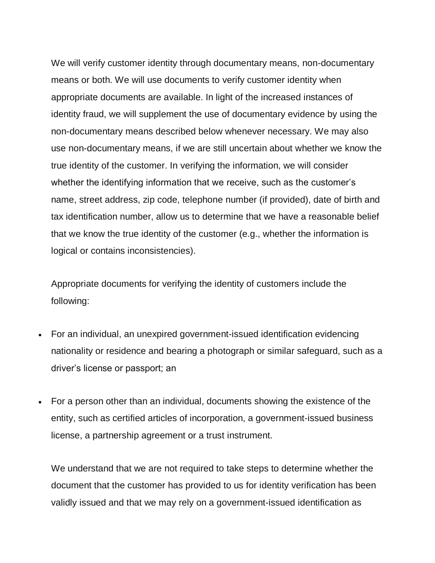We will verify customer identity through documentary means, non-documentary means or both. We will use documents to verify customer identity when appropriate documents are available. In light of the increased instances of identity fraud, we will supplement the use of documentary evidence by using the non-documentary means described below whenever necessary. We may also use non-documentary means, if we are still uncertain about whether we know the true identity of the customer. In verifying the information, we will consider whether the identifying information that we receive, such as the customer's name, street address, zip code, telephone number (if provided), date of birth and tax identification number, allow us to determine that we have a reasonable belief that we know the true identity of the customer (e.g., whether the information is logical or contains inconsistencies).

Appropriate documents for verifying the identity of customers include the following:

- For an individual, an unexpired government-issued identification evidencing nationality or residence and bearing a photograph or similar safeguard, such as a driver's license or passport; an
- For a person other than an individual, documents showing the existence of the entity, such as certified articles of incorporation, a government-issued business license, a partnership agreement or a trust instrument.

We understand that we are not required to take steps to determine whether the document that the customer has provided to us for identity verification has been validly issued and that we may rely on a government-issued identification as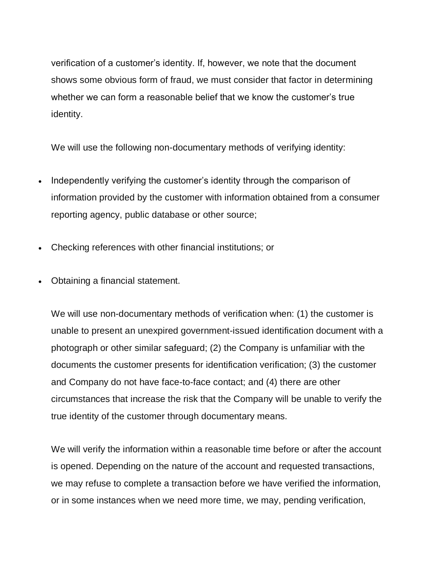verification of a customer's identity. If, however, we note that the document shows some obvious form of fraud, we must consider that factor in determining whether we can form a reasonable belief that we know the customer's true identity.

We will use the following non-documentary methods of verifying identity:

- Independently verifying the customer's identity through the comparison of information provided by the customer with information obtained from a consumer reporting agency, public database or other source;
- Checking references with other financial institutions; or
- Obtaining a financial statement.

We will use non-documentary methods of verification when: (1) the customer is unable to present an unexpired government-issued identification document with a photograph or other similar safeguard; (2) the Company is unfamiliar with the documents the customer presents for identification verification; (3) the customer and Company do not have face-to-face contact; and (4) there are other circumstances that increase the risk that the Company will be unable to verify the true identity of the customer through documentary means.

We will verify the information within a reasonable time before or after the account is opened. Depending on the nature of the account and requested transactions, we may refuse to complete a transaction before we have verified the information, or in some instances when we need more time, we may, pending verification,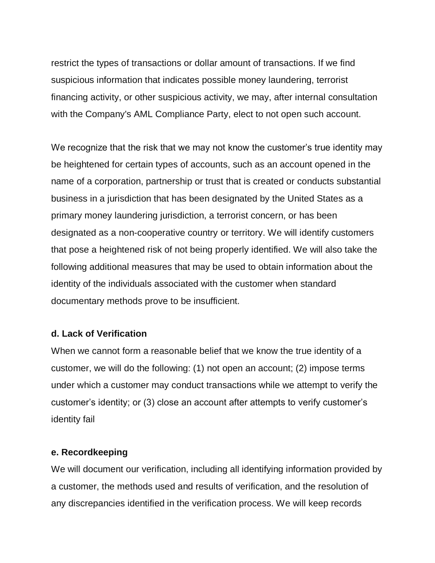restrict the types of transactions or dollar amount of transactions. If we find suspicious information that indicates possible money laundering, terrorist financing activity, or other suspicious activity, we may, after internal consultation with the Company's AML Compliance Party, elect to not open such account.

We recognize that the risk that we may not know the customer's true identity may be heightened for certain types of accounts, such as an account opened in the name of a corporation, partnership or trust that is created or conducts substantial business in a jurisdiction that has been designated by the United States as a primary money laundering jurisdiction, a terrorist concern, or has been designated as a non-cooperative country or territory. We will identify customers that pose a heightened risk of not being properly identified. We will also take the following additional measures that may be used to obtain information about the identity of the individuals associated with the customer when standard documentary methods prove to be insufficient.

#### **d. Lack of Verification**

When we cannot form a reasonable belief that we know the true identity of a customer, we will do the following: (1) not open an account; (2) impose terms under which a customer may conduct transactions while we attempt to verify the customer's identity; or (3) close an account after attempts to verify customer's identity fail

#### **e. Recordkeeping**

We will document our verification, including all identifying information provided by a customer, the methods used and results of verification, and the resolution of any discrepancies identified in the verification process. We will keep records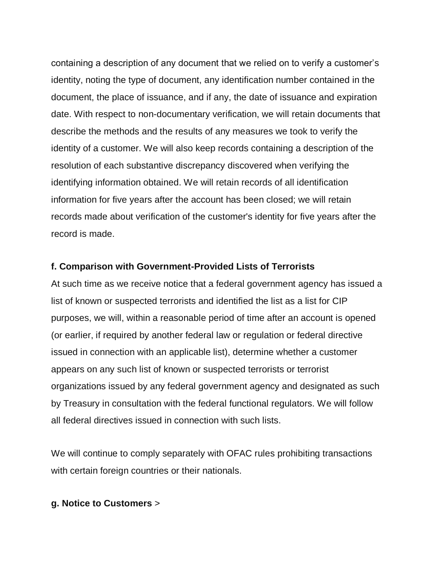containing a description of any document that we relied on to verify a customer's identity, noting the type of document, any identification number contained in the document, the place of issuance, and if any, the date of issuance and expiration date. With respect to non-documentary verification, we will retain documents that describe the methods and the results of any measures we took to verify the identity of a customer. We will also keep records containing a description of the resolution of each substantive discrepancy discovered when verifying the identifying information obtained. We will retain records of all identification information for five years after the account has been closed; we will retain records made about verification of the customer's identity for five years after the record is made.

#### **f. Comparison with Government-Provided Lists of Terrorists**

At such time as we receive notice that a federal government agency has issued a list of known or suspected terrorists and identified the list as a list for CIP purposes, we will, within a reasonable period of time after an account is opened (or earlier, if required by another federal law or regulation or federal directive issued in connection with an applicable list), determine whether a customer appears on any such list of known or suspected terrorists or terrorist organizations issued by any federal government agency and designated as such by Treasury in consultation with the federal functional regulators. We will follow all federal directives issued in connection with such lists.

We will continue to comply separately with OFAC rules prohibiting transactions with certain foreign countries or their nationals.

#### **g. Notice to Customers** >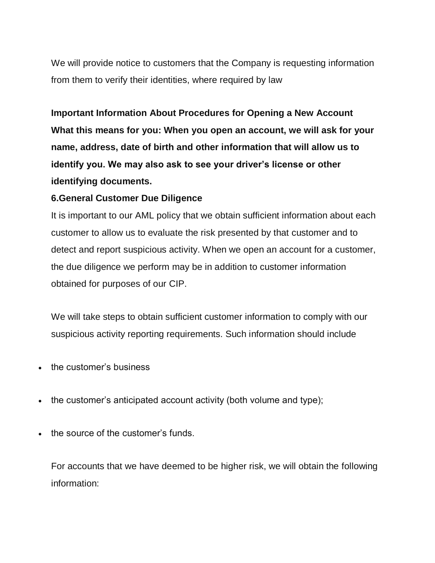We will provide notice to customers that the Company is requesting information from them to verify their identities, where required by law

**Important Information About Procedures for Opening a New Account What this means for you: When you open an account, we will ask for your name, address, date of birth and other information that will allow us to identify you. We may also ask to see your driver's license or other identifying documents.**

#### **6.General Customer Due Diligence**

It is important to our AML policy that we obtain sufficient information about each customer to allow us to evaluate the risk presented by that customer and to detect and report suspicious activity. When we open an account for a customer, the due diligence we perform may be in addition to customer information obtained for purposes of our CIP.

We will take steps to obtain sufficient customer information to comply with our suspicious activity reporting requirements. Such information should include

- the customer's business
- the customer's anticipated account activity (both volume and type);
- the source of the customer's funds.

For accounts that we have deemed to be higher risk, we will obtain the following information: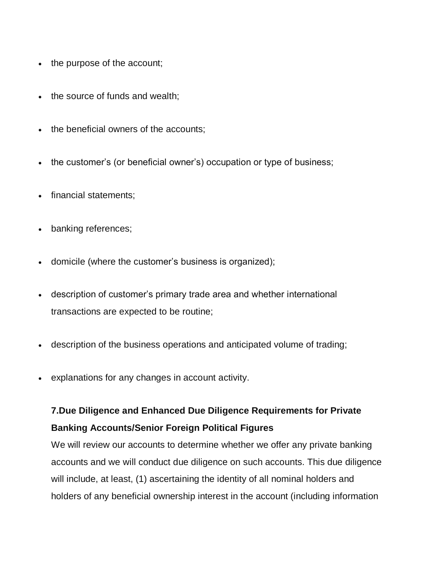- the purpose of the account;
- the source of funds and wealth;
- the beneficial owners of the accounts;
- the customer's (or beneficial owner's) occupation or type of business;
- financial statements;
- banking references;
- domicile (where the customer's business is organized);
- description of customer's primary trade area and whether international transactions are expected to be routine;
- description of the business operations and anticipated volume of trading;
- explanations for any changes in account activity.

## **7.Due Diligence and Enhanced Due Diligence Requirements for Private Banking Accounts/Senior Foreign Political Figures**

We will review our accounts to determine whether we offer any private banking accounts and we will conduct due diligence on such accounts. This due diligence will include, at least, (1) ascertaining the identity of all nominal holders and holders of any beneficial ownership interest in the account (including information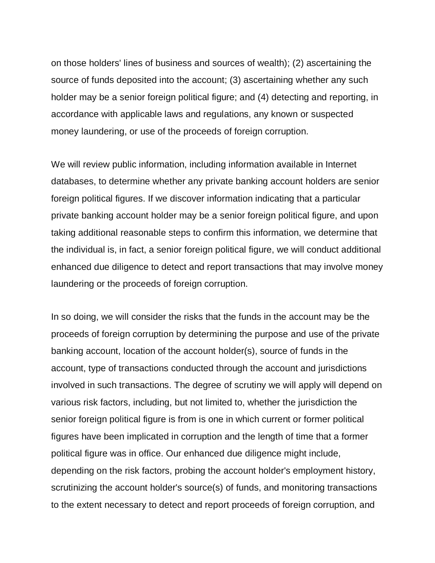on those holders' lines of business and sources of wealth); (2) ascertaining the source of funds deposited into the account; (3) ascertaining whether any such holder may be a senior foreign political figure; and (4) detecting and reporting, in accordance with applicable laws and regulations, any known or suspected money laundering, or use of the proceeds of foreign corruption.

We will review public information, including information available in Internet databases, to determine whether any private banking account holders are senior foreign political figures. If we discover information indicating that a particular private banking account holder may be a senior foreign political figure, and upon taking additional reasonable steps to confirm this information, we determine that the individual is, in fact, a senior foreign political figure, we will conduct additional enhanced due diligence to detect and report transactions that may involve money laundering or the proceeds of foreign corruption.

In so doing, we will consider the risks that the funds in the account may be the proceeds of foreign corruption by determining the purpose and use of the private banking account, location of the account holder(s), source of funds in the account, type of transactions conducted through the account and jurisdictions involved in such transactions. The degree of scrutiny we will apply will depend on various risk factors, including, but not limited to, whether the jurisdiction the senior foreign political figure is from is one in which current or former political figures have been implicated in corruption and the length of time that a former political figure was in office. Our enhanced due diligence might include, depending on the risk factors, probing the account holder's employment history, scrutinizing the account holder's source(s) of funds, and monitoring transactions to the extent necessary to detect and report proceeds of foreign corruption, and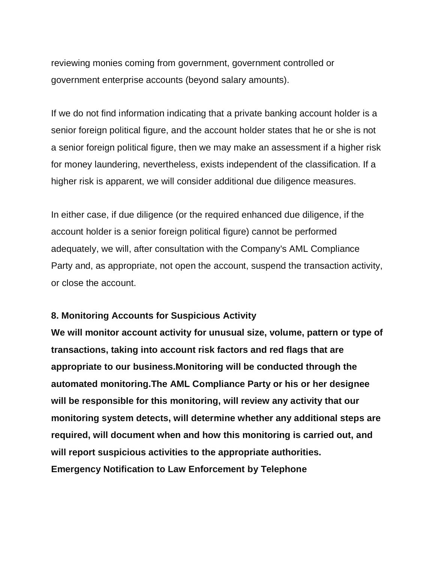reviewing monies coming from government, government controlled or government enterprise accounts (beyond salary amounts).

If we do not find information indicating that a private banking account holder is a senior foreign political figure, and the account holder states that he or she is not a senior foreign political figure, then we may make an assessment if a higher risk for money laundering, nevertheless, exists independent of the classification. If a higher risk is apparent, we will consider additional due diligence measures.

In either case, if due diligence (or the required enhanced due diligence, if the account holder is a senior foreign political figure) cannot be performed adequately, we will, after consultation with the Company's AML Compliance Party and, as appropriate, not open the account, suspend the transaction activity, or close the account.

#### **8. Monitoring Accounts for Suspicious Activity**

**We will monitor account activity for unusual size, volume, pattern or type of transactions, taking into account risk factors and red flags that are appropriate to our business.Monitoring will be conducted through the automated monitoring.The AML Compliance Party or his or her designee will be responsible for this monitoring, will review any activity that our monitoring system detects, will determine whether any additional steps are required, will document when and how this monitoring is carried out, and will report suspicious activities to the appropriate authorities. Emergency Notification to Law Enforcement by Telephone**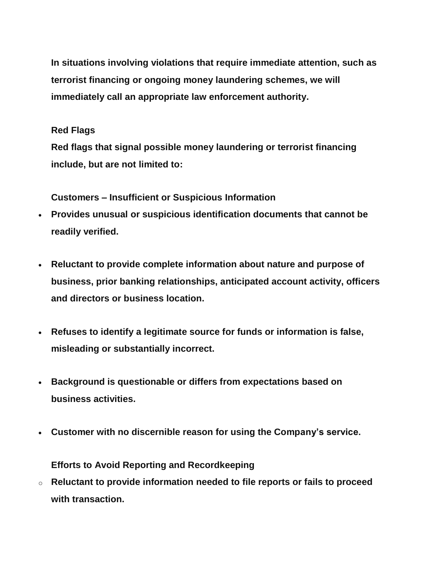**In situations involving violations that require immediate attention, such as terrorist financing or ongoing money laundering schemes, we will immediately call an appropriate law enforcement authority.**

#### **Red Flags**

**Red flags that signal possible money laundering or terrorist financing include, but are not limited to:**

**Customers – Insufficient or Suspicious Information**

- **Provides unusual or suspicious identification documents that cannot be readily verified.**
- **Reluctant to provide complete information about nature and purpose of business, prior banking relationships, anticipated account activity, officers and directors or business location.**
- **Refuses to identify a legitimate source for funds or information is false, misleading or substantially incorrect.**
- **Background is questionable or differs from expectations based on business activities.**
- **Customer with no discernible reason for using the Company's service.**

## **Efforts to Avoid Reporting and Recordkeeping**

o **Reluctant to provide information needed to file reports or fails to proceed with transaction.**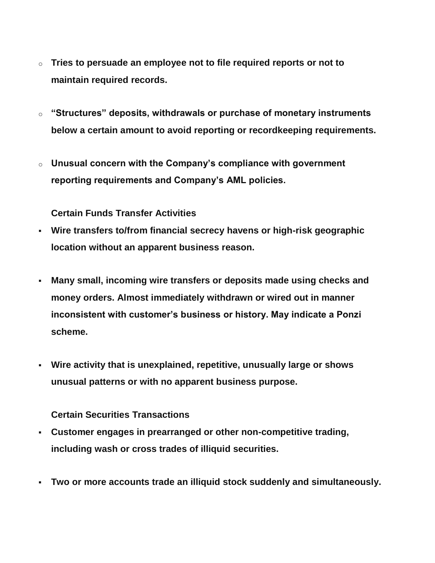- o **Tries to persuade an employee not to file required reports or not to maintain required records.**
- o **"Structures" deposits, withdrawals or purchase of monetary instruments below a certain amount to avoid reporting or recordkeeping requirements.**
- o **Unusual concern with the Company's compliance with government reporting requirements and Company's AML policies.**

**Certain Funds Transfer Activities**

- **Wire transfers to/from financial secrecy havens or high-risk geographic location without an apparent business reason.**
- **Many small, incoming wire transfers or deposits made using checks and money orders. Almost immediately withdrawn or wired out in manner inconsistent with customer's business or history. May indicate a Ponzi scheme.**
- **Wire activity that is unexplained, repetitive, unusually large or shows unusual patterns or with no apparent business purpose.**

**Certain Securities Transactions**

- **Customer engages in prearranged or other non-competitive trading, including wash or cross trades of illiquid securities.**
- **Two or more accounts trade an illiquid stock suddenly and simultaneously.**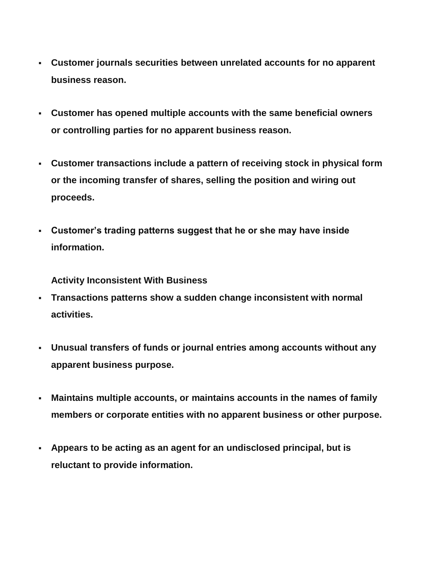- **Customer journals securities between unrelated accounts for no apparent business reason.**
- **Customer has opened multiple accounts with the same beneficial owners or controlling parties for no apparent business reason.**
- **Customer transactions include a pattern of receiving stock in physical form or the incoming transfer of shares, selling the position and wiring out proceeds.**
- **Customer's trading patterns suggest that he or she may have inside information.**

**Activity Inconsistent With Business**

- **Transactions patterns show a sudden change inconsistent with normal activities.**
- **Unusual transfers of funds or journal entries among accounts without any apparent business purpose.**
- **Maintains multiple accounts, or maintains accounts in the names of family members or corporate entities with no apparent business or other purpose.**
- **Appears to be acting as an agent for an undisclosed principal, but is reluctant to provide information.**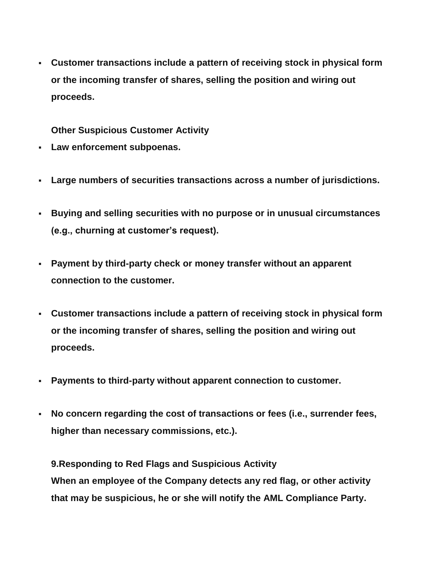**Customer transactions include a pattern of receiving stock in physical form or the incoming transfer of shares, selling the position and wiring out proceeds.**

**Other Suspicious Customer Activity**

- **Law enforcement subpoenas.**
- **Large numbers of securities transactions across a number of jurisdictions.**
- **Buying and selling securities with no purpose or in unusual circumstances (e.g., churning at customer's request).**
- **Payment by third-party check or money transfer without an apparent connection to the customer.**
- **Customer transactions include a pattern of receiving stock in physical form or the incoming transfer of shares, selling the position and wiring out proceeds.**
- **Payments to third-party without apparent connection to customer.**
- **No concern regarding the cost of transactions or fees (i.e., surrender fees, higher than necessary commissions, etc.).**

**9.Responding to Red Flags and Suspicious Activity When an employee of the Company detects any red flag, or other activity that may be suspicious, he or she will notify the AML Compliance Party.**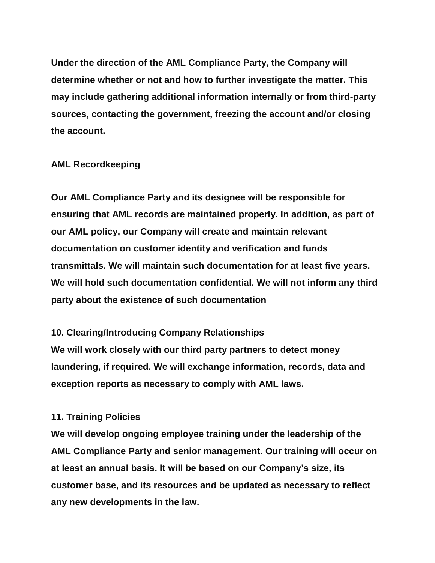**Under the direction of the AML Compliance Party, the Company will determine whether or not and how to further investigate the matter. This may include gathering additional information internally or from third-party sources, contacting the government, freezing the account and/or closing the account.**

#### **AML Recordkeeping**

**Our AML Compliance Party and its designee will be responsible for ensuring that AML records are maintained properly. In addition, as part of our AML policy, our Company will create and maintain relevant documentation on customer identity and verification and funds transmittals. We will maintain such documentation for at least five years. We will hold such documentation confidential. We will not inform any third party about the existence of such documentation**

**10. Clearing/Introducing Company Relationships We will work closely with our third party partners to detect money laundering, if required. We will exchange information, records, data and exception reports as necessary to comply with AML laws.**

#### **11. Training Policies**

**We will develop ongoing employee training under the leadership of the AML Compliance Party and senior management. Our training will occur on at least an annual basis. It will be based on our Company's size, its customer base, and its resources and be updated as necessary to reflect any new developments in the law.**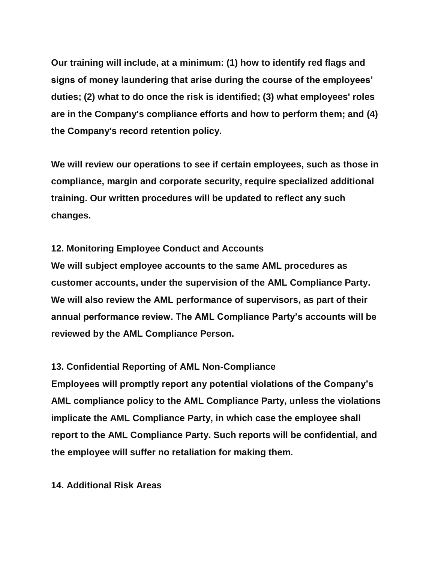**Our training will include, at a minimum: (1) how to identify red flags and signs of money laundering that arise during the course of the employees' duties; (2) what to do once the risk is identified; (3) what employees' roles are in the Company's compliance efforts and how to perform them; and (4) the Company's record retention policy.**

**We will review our operations to see if certain employees, such as those in compliance, margin and corporate security, require specialized additional training. Our written procedures will be updated to reflect any such changes.**

#### **12. Monitoring Employee Conduct and Accounts**

**We will subject employee accounts to the same AML procedures as customer accounts, under the supervision of the AML Compliance Party. We will also review the AML performance of supervisors, as part of their annual performance review. The AML Compliance Party's accounts will be reviewed by the AML Compliance Person.**

## **13. Confidential Reporting of AML Non-Compliance**

**Employees will promptly report any potential violations of the Company's AML compliance policy to the AML Compliance Party, unless the violations implicate the AML Compliance Party, in which case the employee shall report to the AML Compliance Party. Such reports will be confidential, and the employee will suffer no retaliation for making them.**

**14. Additional Risk Areas**